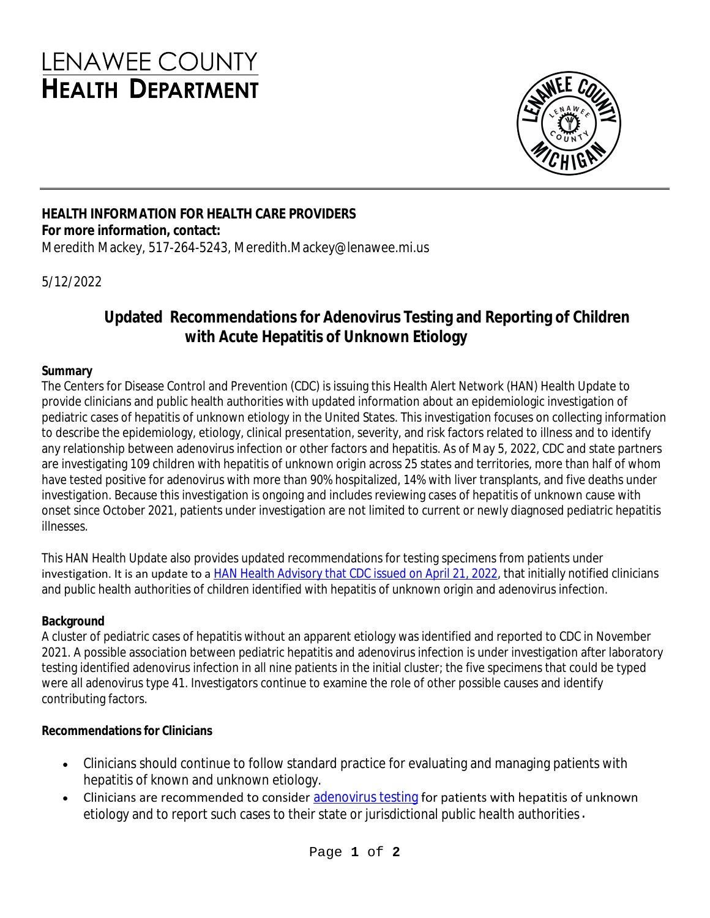# **LENAWEE COUNTY HEALTH DEPARTMENT**



#### **HEALTH INFORMATION FOR HEALTH CARE PROVIDERS For more information, contact:**

Meredith Mackey, 517-264-5243, Meredith.Mackey@lenawee.mi.us

5/12/2022

# **Updated Recommendations for Adenovirus Testing and Reporting of Children with Acute Hepatitis of Unknown Etiology**

#### **Summary**

The Centers for Disease Control and Prevention (CDC) is issuing this Health Alert Network (HAN) Health Update to provide clinicians and public health authorities with updated information about an epidemiologic investigation of pediatric cases of hepatitis of unknown etiology in the United States. This investigation focuses on collecting information to describe the epidemiology, etiology, clinical presentation, severity, and risk factors related to illness and to identify any relationship between adenovirus infection or other factors and hepatitis. As of May 5, 2022, CDC and state partners are investigating 109 children with hepatitis of unknown origin across 25 states and territories, more than half of whom have tested positive for adenovirus with more than 90% hospitalized, 14% with liver transplants, and five deaths under investigation. Because this investigation is ongoing and includes reviewing cases of hepatitis of unknown cause with onset since October 2021, patients under investigation are not limited to current or newly diagnosed pediatric hepatitis illnesses.

This HAN Health Update also provides updated recommendations for testing specimens from patients under investigation. It is an update to a **HAN Health Advisory that CDC** issued on April 21, 2022, that initially notified clinicians and public health authorities of children identified with hepatitis of unknown origin and adenovirus infection.

#### **Background**

A cluster of pediatric cases of hepatitis without an apparent etiology was identified and reported to CDC in November 2021. A possible association between pediatric hepatitis and adenovirus infection is under investigation after laboratory testing identified adenovirus infection in all nine patients in the initial cluster; the five specimens that could be typed were all adenovirus type 41. Investigators continue to examine the role of other possible causes and identify contributing factors.

#### **Recommendations for Clinicians**

- Clinicians should continue to follow standard practice for evaluating and managing patients with hepatitis of known and unknown etiology.
- Clinicians are recommended to consider [adenovirus testing](https://gcc02.safelinks.protection.outlook.com/?url=https%3A%2F%2Ft.emailupdates.cdc.gov%2Fr%2F%3Fid%3Dh6507c498%2C1682eb3d%2C1682fa3d%26e%3DQUNTVHJhY2tpbmdJRD1VU0NEQ181MTEtRE04MTkyMCZBQ1NUcmFja2luZ0xhYmVsPUhBTiUyMDQ2NSUyMC0lMjBDT0NBJTIwU3Vic2NyaWJlcnM%26s%3Dd4QSovAFPNPmJ_7wNO_x9VqhQ9Gac8T_CdrjTlNGKB8&data=05%7C01%7CBrousseauG1%40michigan.gov%7Ca1122921fc68452e55f008da344ac7a4%7Cd5fb7087377742ad966a892ef47225d1%7C0%7C0%7C637879793018889363%7CUnknown%7CTWFpbGZsb3d8eyJWIjoiMC4wLjAwMDAiLCJQIjoiV2luMzIiLCJBTiI6Ik1haWwiLCJXVCI6Mn0%3D%7C3000%7C%7C%7C&sdata=j3v6BoAe6QUp9E5k2zlSlXLtWWhTlCt2hD6snmZCzvc%3D&reserved=0) for patients with hepatitis of unknown etiology and to report such cases to their state or jurisdictional public health authorities.